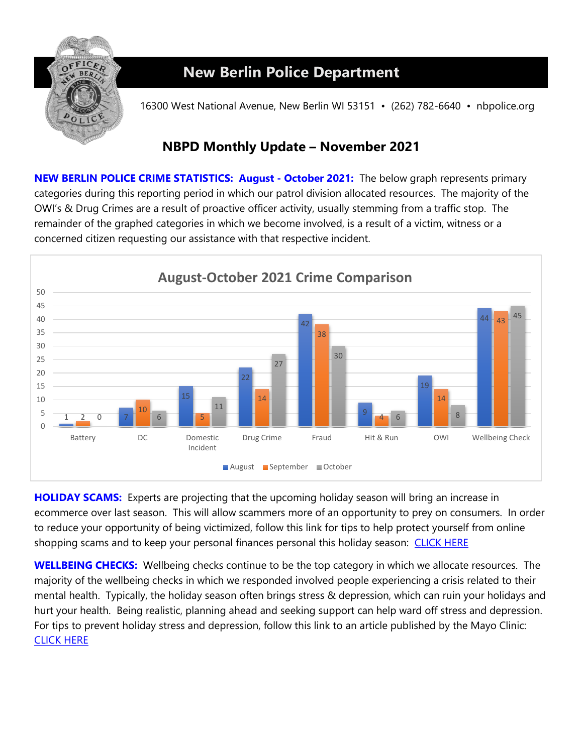

## **New Berlin Police Department**

16300 West National Avenue, New Berlin WI 53151 • (262) 782-6640 • nbpolice.org

## **NBPD Monthly Update – November 2021**

**NEW BERLIN POLICE CRIME STATISTICS: August - October 2021:** The below graph represents primary categories during this reporting period in which our patrol division allocated resources. The majority of the OWI's & Drug Crimes are a result of proactive officer activity, usually stemming from a traffic stop. The remainder of the graphed categories in which we become involved, is a result of a victim, witness or a concerned citizen requesting our assistance with that respective incident.



**HOLIDAY SCAMS:** Experts are projecting that the upcoming holiday season will bring an increase in ecommerce over last season. This will allow scammers more of an opportunity to prey on consumers. In order to reduce your opportunity of being victimized, follow this link for tips to help protect yourself from online shopping scams and to keep your personal finances personal this holiday season: CLICK HERE

**WELLBEING CHECKS:** Wellbeing checks continue to be the top category in which we allocate resources. The majority of the wellbeing checks in which we responded involved people experiencing a crisis related to their mental health. Typically, the holiday season often brings stress & depression, which can ruin your holidays and hurt your health. Being realistic, planning ahead and seeking support can help ward off stress and depression. For tips to prevent holiday stress and depression, follow this link to an article published by the Mayo Clinic: [CLICK HERE](https://www.mayoclinic.org/healthy-lifestyle/stress-management/in-depth/stress/art-20047544)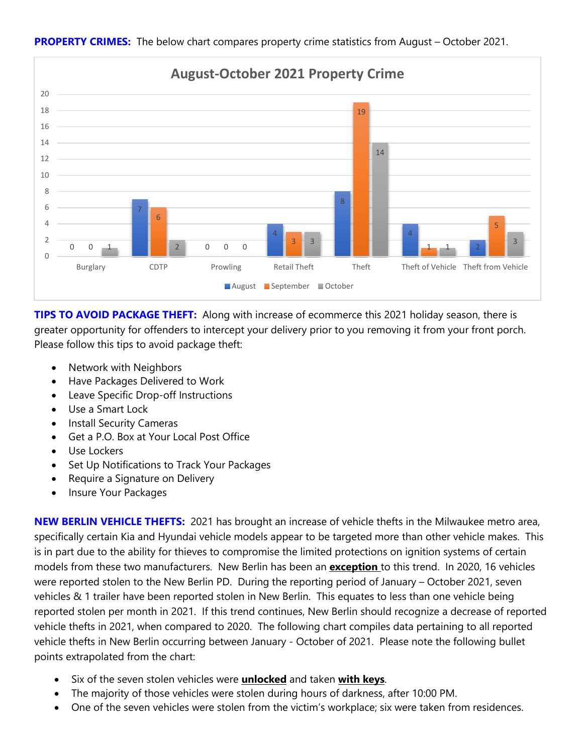

**PROPERTY CRIMES:** The below chart compares property crime statistics from August – October 2021.

**TIPS TO AVOID PACKAGE THEFT:** Along with increase of ecommerce this 2021 holiday season, there is greater opportunity for offenders to intercept your delivery prior to you removing it from your front porch. Please follow this tips to avoid package theft:

- Network with Neighbors
- Have Packages Delivered to Work
- Leave Specific Drop-off Instructions
- Use a Smart Lock
- Install Security Cameras
- Get a P.O. Box at Your Local Post Office
- Use Lockers
- Set Up Notifications to Track Your Packages
- Require a Signature on Delivery
- Insure Your Packages

**NEW BERLIN VEHICLE THEFTS:** 2021 has brought an increase of vehicle thefts in the Milwaukee metro area, specifically certain Kia and Hyundai vehicle models appear to be targeted more than other vehicle makes. This is in part due to the ability for thieves to compromise the limited protections on ignition systems of certain models from these two manufacturers. New Berlin has been an **exception** to this trend. In 2020, 16 vehicles were reported stolen to the New Berlin PD. During the reporting period of January – October 2021, seven vehicles & 1 trailer have been reported stolen in New Berlin. This equates to less than one vehicle being reported stolen per month in 2021. If this trend continues, New Berlin should recognize a decrease of reported vehicle thefts in 2021, when compared to 2020. The following chart compiles data pertaining to all reported vehicle thefts in New Berlin occurring between January - October of 2021. Please note the following bullet points extrapolated from the chart:

- Six of the seven stolen vehicles were **unlocked** and taken **with keys**.
- The majority of those vehicles were stolen during hours of darkness, after 10:00 PM.
- One of the seven vehicles were stolen from the victim's workplace; six were taken from residences.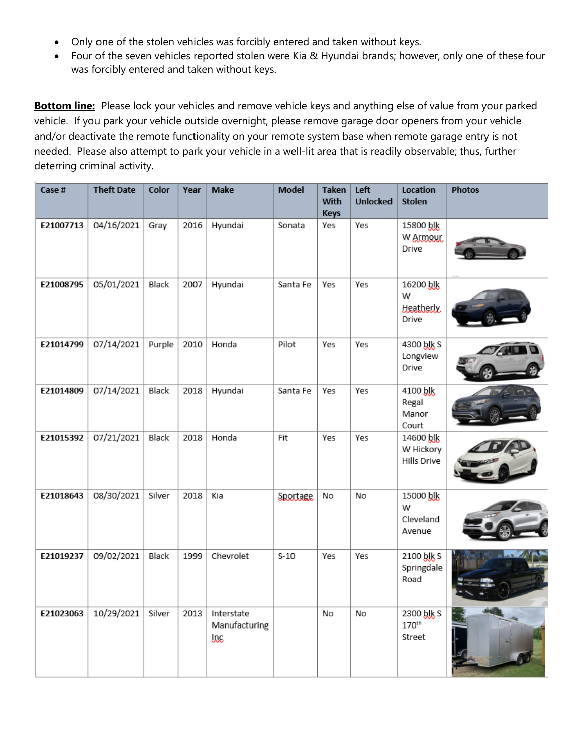- Only one of the stolen vehicles was forcibly entered and taken without keys.
- Four of the seven vehicles reported stolen were Kia & Hyundai brands; however, only one of these four was forcibly entered and taken without keys.

**Bottom line:** Please lock your vehicles and remove vehicle keys and anything else of value from your parked vehicle. If you park your vehicle outside overnight, please remove garage door openers from your vehicle and/or deactivate the remote functionality on your remote system base when remote garage entry is not needed. Please also attempt to park your vehicle in a well-lit area that is readily observable; thus, further deterring criminal activity.

| Case #    | <b>Theft Date</b> | Color  | Year | Make                               | <b>Model</b> | <b>Taken</b><br>With<br><b>Keys</b> | Left<br><b>Unlocked</b> | Location<br><b>Stolen</b>                   | <b>Photos</b> |
|-----------|-------------------|--------|------|------------------------------------|--------------|-------------------------------------|-------------------------|---------------------------------------------|---------------|
| E21007713 | 04/16/2021        | Gray   | 2016 | Hyundai                            | Sonata       | Yes                                 | Yes                     | 15800 blk<br>W Armour<br>Drive              |               |
| E21008795 | 05/01/2021        | Black  | 2007 | Hyundai                            | Santa Fe     | Yes                                 | Yes                     | 16200 blk<br>W<br><b>Heatherly</b><br>Drive |               |
| E21014799 | 07/14/2021        | Purple | 2010 | Honda                              | Pilot        | Yes                                 | Yes                     | 4300 blk S<br>Longview<br>Drive             |               |
| E21014809 | 07/14/2021        | Black  | 2018 | Hyundai                            | Santa Fe     | Yes                                 | Yes                     | 4100 blk<br>Regal<br>Manor<br>Court         |               |
| E21015392 | 07/21/2021        | Black  | 2018 | Honda                              | Fit          | Yes                                 | Yes                     | 14600 blk<br>W Hickory<br>Hills Drive       |               |
| E21018643 | 08/30/2021        | Silver | 2018 | Kia                                | Sportage     | No                                  | No                      | 15000 blk<br>W<br>Cleveland<br>Avenue       |               |
| E21019237 | 09/02/2021        | Black  | 1999 | Chevrolet                          | $S-10$       | Yes                                 | Yes                     | 2100 blk S<br>Springdale<br>Road            |               |
| E21023063 | 10/29/2021        | Silver | 2013 | Interstate<br>Manufacturing<br>loc |              | No                                  | No                      | 2300 blk S<br>170 <sup>th</sup><br>Street   |               |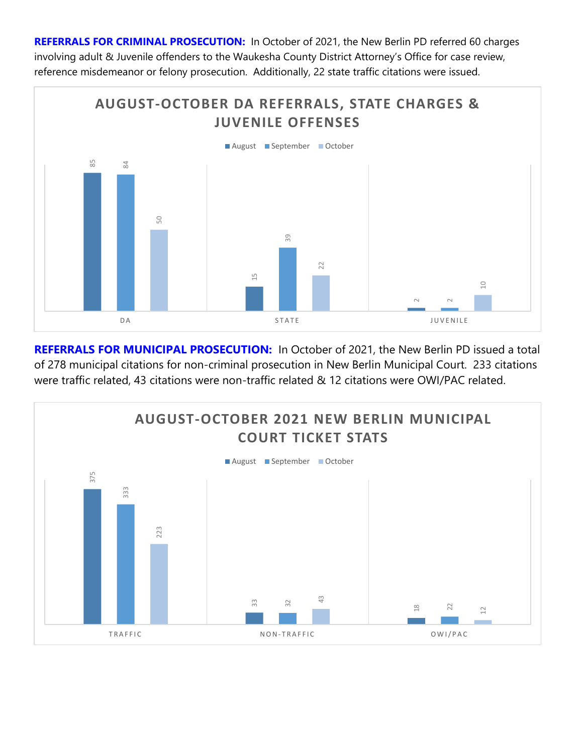**REFERRALS FOR CRIMINAL PROSECUTION:** In October of 2021, the New Berlin PD referred 60 charges involving adult & Juvenile offenders to the Waukesha County District Attorney's Office for case review, reference misdemeanor or felony prosecution. Additionally, 22 state traffic citations were issued.



**REFERRALS FOR MUNICIPAL PROSECUTION:** In October of 2021, the New Berlin PD issued a total of 278 municipal citations for non-criminal prosecution in New Berlin Municipal Court. 233 citations

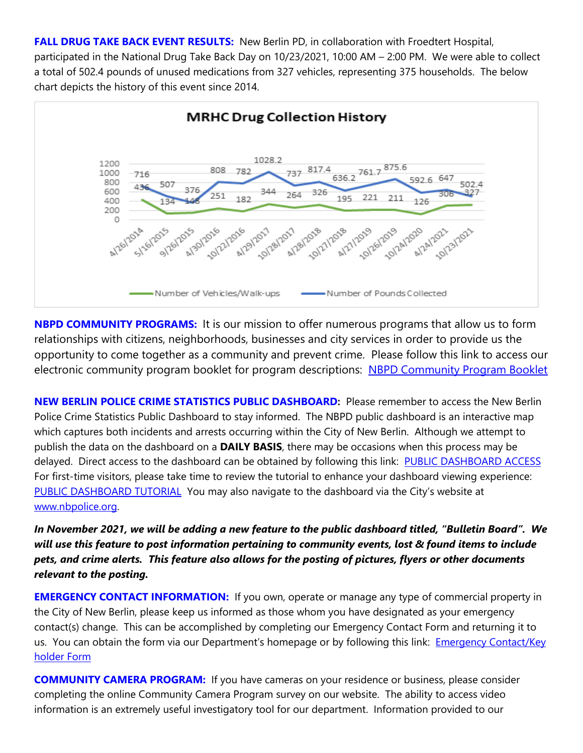**FALL DRUG TAKE BACK EVENT RESULTS:** New Berlin PD, in collaboration with Froedtert Hospital, participated in the National Drug Take Back Day on 10/23/2021, 10:00 AM – 2:00 PM. We were able to collect a total of 502.4 pounds of unused medications from 327 vehicles, representing 375 households. The below chart depicts the history of this event since 2014.



**NBPD COMMUNITY PROGRAMS:** It is our mission to offer numerous programs that allow us to form relationships with citizens, neighborhoods, businesses and city services in order to provide us the opportunity to come together as a community and prevent crime. Please follow this link to access our electronic community program booklet for program descriptions: [NBPD Community Program Booklet](https://www.newberlin.org/DocumentCenter/View/15824/Community-Program-Booklet?bidId)

**NEW BERLIN POLICE CRIME STATISTICS PUBLIC DASHBOARD:** Please remember to access the New Berlin Police Crime Statistics Public Dashboard to stay informed. The NBPD public dashboard is an interactive map which captures both incidents and arrests occurring within the City of New Berlin. Although we attempt to publish the data on the dashboard on a **DAILY BASIS**, there may be occasions when this process may be delayed. Direct access to the dashboard can be obtained by following this link: PUBLIC DASHBOARD ACCESS For first-time visitors, please take time to review the tutorial to enhance your dashboard viewing experience: [PUBLIC DASHBOARD TUTORIAL](https://www.newberlin.org/DocumentCenter/View/16445/Public-Dashboard-Tutorial?bidId) You may also navigate to the dashboard via the City's website at [www.nbpolice.org.](http://www.nbpolice.org/)

*In November 2021, we will be adding a new feature to the public dashboard titled, "Bulletin Board". We will use this feature to post information pertaining to community events, lost & found items to include pets, and crime alerts. This feature also allows for the posting of pictures, flyers or other documents relevant to the posting.*

**EMERGENCY CONTACT INFORMATION:** If you own, operate or manage any type of commercial property in the City of New Berlin, please keep us informed as those whom you have designated as your emergency contact(s) change. This can be accomplished by completing our Emergency Contact Form and returning it to us. You can obtain the form via our Department's homepage or by following this link: Emergency Contact/Key [holder Form](https://www.newberlin.org/1077/Forms)

**COMMUNITY CAMERA PROGRAM:** If you have cameras on your residence or business, please consider completing the online Community Camera Program survey on our website. The ability to access video information is an extremely useful investigatory tool for our department. Information provided to our